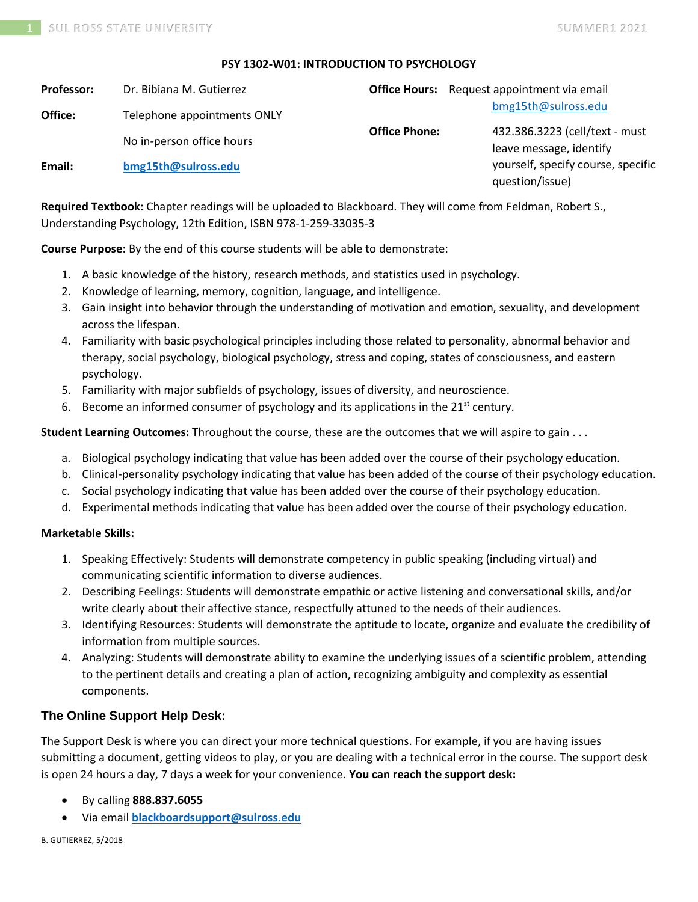#### **PSY 1302-W01: INTRODUCTION TO PSYCHOLOGY**

| <b>Professor:</b> | Dr. Bibiana M. Gutierrez    |                      | <b>Office Hours:</b> Request appointment via email        |
|-------------------|-----------------------------|----------------------|-----------------------------------------------------------|
| Office:           | Telephone appointments ONLY |                      | bmg15th@sulross.edu                                       |
|                   | No in-person office hours   | <b>Office Phone:</b> | 432.386.3223 (cell/text - must<br>leave message, identify |
| Email:            | bmg15th@sulross.edu         |                      | yourself, specify course, specific<br>question/issue)     |

**Required Textbook:** Chapter readings will be uploaded to Blackboard. They will come from Feldman, Robert S., Understanding Psychology, 12th Edition, ISBN 978-1-259-33035-3

**Course Purpose:** By the end of this course students will be able to demonstrate:

- 1. A basic knowledge of the history, research methods, and statistics used in psychology.
- 2. Knowledge of learning, memory, cognition, language, and intelligence.
- 3. Gain insight into behavior through the understanding of motivation and emotion, sexuality, and development across the lifespan.
- 4. Familiarity with basic psychological principles including those related to personality, abnormal behavior and therapy, social psychology, biological psychology, stress and coping, states of consciousness, and eastern psychology.
- 5. Familiarity with major subfields of psychology, issues of diversity, and neuroscience.
- 6. Become an informed consumer of psychology and its applications in the  $21^{st}$  century.

**Student Learning Outcomes:** Throughout the course, these are the outcomes that we will aspire to gain . . .

- a. Biological psychology indicating that value has been added over the course of their psychology education.
- b. Clinical-personality psychology indicating that value has been added of the course of their psychology education.
- c. Social psychology indicating that value has been added over the course of their psychology education.
- d. Experimental methods indicating that value has been added over the course of their psychology education.

#### **Marketable Skills:**

- 1. Speaking Effectively: Students will demonstrate competency in public speaking (including virtual) and communicating scientific information to diverse audiences.
- 2. Describing Feelings: Students will demonstrate empathic or active listening and conversational skills, and/or write clearly about their affective stance, respectfully attuned to the needs of their audiences.
- 3. Identifying Resources: Students will demonstrate the aptitude to locate, organize and evaluate the credibility of information from multiple sources.
- 4. Analyzing: Students will demonstrate ability to examine the underlying issues of a scientific problem, attending to the pertinent details and creating a plan of action, recognizing ambiguity and complexity as essential components.

### **The Online Support Help Desk:**

The Support Desk is where you can direct your more technical questions. For example, if you are having issues submitting a document, getting videos to play, or you are dealing with a technical error in the course. The support desk is open 24 hours a day, 7 days a week for your convenience. **You can reach the support desk:**

- By calling **888.837.6055**
- Via email **[blackboardsupport@sulross.edu](mailto:blackboardsupport@sulross.edu)**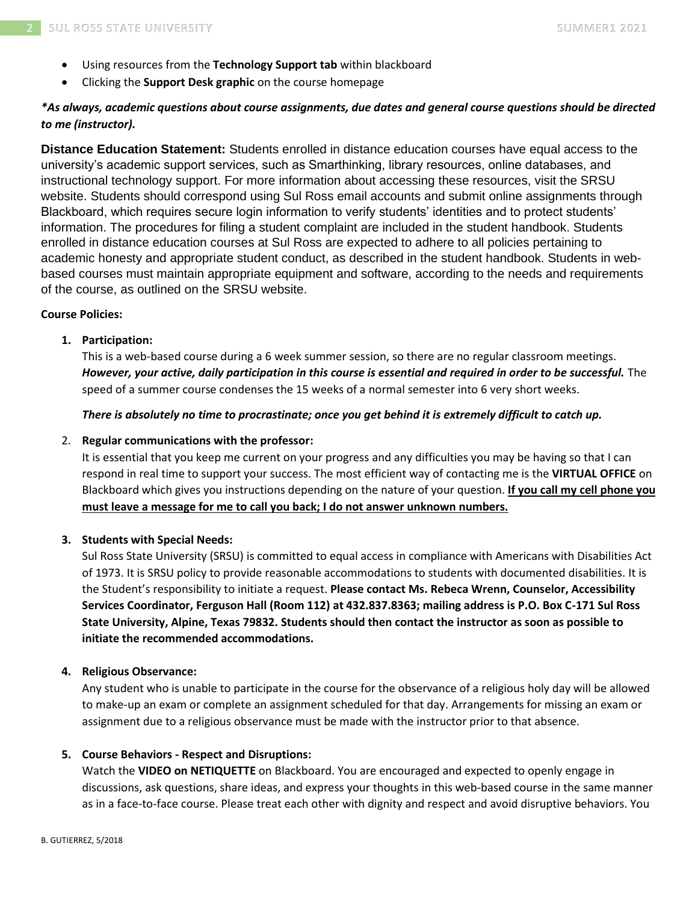- Using resources from the **Technology Support tab** within blackboard
- Clicking the **Support Desk graphic** on the course homepage

## *\*As always, academic questions about course assignments, due dates and general course questions should be directed to me (instructor).*

**Distance Education Statement:** Students enrolled in distance education courses have equal access to the university's academic support services, such as Smarthinking, library resources, online databases, and instructional technology support. For more information about accessing these resources, visit the SRSU website. Students should correspond using Sul Ross email accounts and submit online assignments through Blackboard, which requires secure login information to verify students' identities and to protect students' information. The procedures for filing a student complaint are included in the student handbook. Students enrolled in distance education courses at Sul Ross are expected to adhere to all policies pertaining to academic honesty and appropriate student conduct, as described in the student handbook. Students in webbased courses must maintain appropriate equipment and software, according to the needs and requirements of the course, as outlined on the SRSU website.

### **Course Policies:**

### **1. Participation:**

This is a web-based course during a 6 week summer session, so there are no regular classroom meetings. *However, your active, daily participation in this course is essential and required in order to be successful.* The speed of a summer course condenses the 15 weeks of a normal semester into 6 very short weeks.

#### *There is absolutely no time to procrastinate; once you get behind it is extremely difficult to catch up.*

#### 2. **Regular communications with the professor:**

It is essential that you keep me current on your progress and any difficulties you may be having so that I can respond in real time to support your success. The most efficient way of contacting me is the **VIRTUAL OFFICE** on Blackboard which gives you instructions depending on the nature of your question. **If you call my cell phone you must leave a message for me to call you back; I do not answer unknown numbers.**

#### **3. Students with Special Needs:**

Sul Ross State University (SRSU) is committed to equal access in compliance with Americans with Disabilities Act of 1973. It is SRSU policy to provide reasonable accommodations to students with documented disabilities. It is the Student's responsibility to initiate a request. **Please contact Ms. Rebeca Wrenn, Counselor, Accessibility Services Coordinator, Ferguson Hall (Room 112) at 432.837.8363; mailing address is P.O. Box C-171 Sul Ross State University, Alpine, Texas 79832. Students should then contact the instructor as soon as possible to initiate the recommended accommodations.**

#### **4. Religious Observance:**

Any student who is unable to participate in the course for the observance of a religious holy day will be allowed to make-up an exam or complete an assignment scheduled for that day. Arrangements for missing an exam or assignment due to a religious observance must be made with the instructor prior to that absence.

#### **5. Course Behaviors - Respect and Disruptions:**

Watch the **VIDEO on NETIQUETTE** on Blackboard. You are encouraged and expected to openly engage in discussions, ask questions, share ideas, and express your thoughts in this web-based course in the same manner as in a face-to-face course. Please treat each other with dignity and respect and avoid disruptive behaviors. You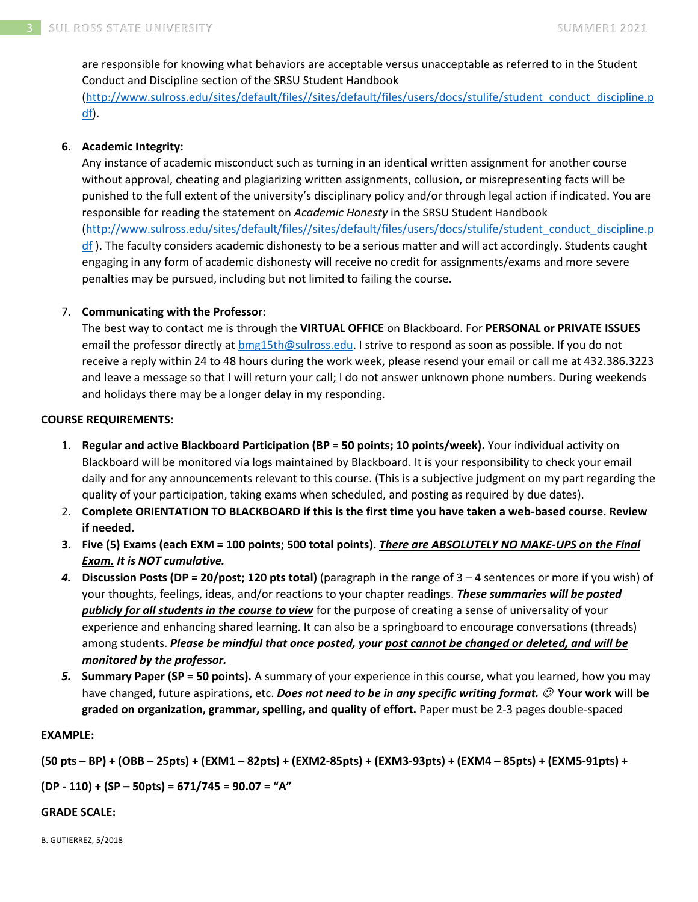are responsible for knowing what behaviors are acceptable versus unacceptable as referred to in the Student Conduct and Discipline section of the SRSU Student Handbook [\(http://www.sulross.edu/sites/default/files//sites/default/files/users/docs/stulife/student\\_conduct\\_discipline.p](http://www.sulross.edu/sites/default/files/sites/default/files/users/docs/stulife/student_conduct_discipline.pdf) [df\)](http://www.sulross.edu/sites/default/files/sites/default/files/users/docs/stulife/student_conduct_discipline.pdf).

## **6. Academic Integrity:**

Any instance of academic misconduct such as turning in an identical written assignment for another course without approval, cheating and plagiarizing written assignments, collusion, or misrepresenting facts will be punished to the full extent of the university's disciplinary policy and/or through legal action if indicated. You are responsible for reading the statement on *Academic Honesty* in the SRSU Student Handbook [\(http://www.sulross.edu/sites/default/files//sites/default/files/users/docs/stulife/student\\_conduct\\_discipline.p](http://www.sulross.edu/sites/default/files/sites/default/files/users/docs/stulife/student_conduct_discipline.pdf) [df](http://www.sulross.edu/sites/default/files/sites/default/files/users/docs/stulife/student_conduct_discipline.pdf) ). The faculty considers academic dishonesty to be a serious matter and will act accordingly. Students caught engaging in any form of academic dishonesty will receive no credit for assignments/exams and more severe penalties may be pursued, including but not limited to failing the course.

### 7. **Communicating with the Professor:**

The best way to contact me is through the **VIRTUAL OFFICE** on Blackboard. For **PERSONAL or PRIVATE ISSUES** email the professor directly at [bmg15th@sulross.edu.](mailto:bmg15th@sulross.edu) I strive to respond as soon as possible. If you do not receive a reply within 24 to 48 hours during the work week, please resend your email or call me at 432.386.3223 and leave a message so that I will return your call; I do not answer unknown phone numbers. During weekends and holidays there may be a longer delay in my responding.

### **COURSE REQUIREMENTS:**

- 1. **Regular and active Blackboard Participation (BP = 50 points; 10 points/week).** Your individual activity on Blackboard will be monitored via logs maintained by Blackboard. It is your responsibility to check your email daily and for any announcements relevant to this course. (This is a subjective judgment on my part regarding the quality of your participation, taking exams when scheduled, and posting as required by due dates).
- 2. **Complete ORIENTATION TO BLACKBOARD if this is the first time you have taken a web-based course. Review if needed.**
- **3. Five (5) Exams (each EXM = 100 points; 500 total points).** *There are ABSOLUTELY NO MAKE-UPS on the Final Exam. It is NOT cumulative.*
- *4.* **Discussion Posts (DP = 20/post; 120 pts total)** (paragraph in the range of 3 4 sentences or more if you wish) of your thoughts, feelings, ideas, and/or reactions to your chapter readings. *These summaries will be posted publicly for all students in the course to view* for the purpose of creating a sense of universality of your experience and enhancing shared learning. It can also be a springboard to encourage conversations (threads) among students. *Please be mindful that once posted, your post cannot be changed or deleted, and will be monitored by the professor.*
- *5.* **Summary Paper (SP = 50 points).** A summary of your experience in this course, what you learned, how you may have changed, future aspirations, etc. *Does not need to be in any specific writing format.* ☺ **Your work will be graded on organization, grammar, spelling, and quality of effort.** Paper must be 2-3 pages double-spaced

#### **EXAMPLE:**

**(50 pts – BP) + (OBB – 25pts) + (EXM1 – 82pts) + (EXM2-85pts) + (EXM3-93pts) + (EXM4 – 85pts) + (EXM5-91pts) +** 

**(DP - 110) + (SP – 50pts) = 671/745 = 90.07 = "A"**

#### **GRADE SCALE:**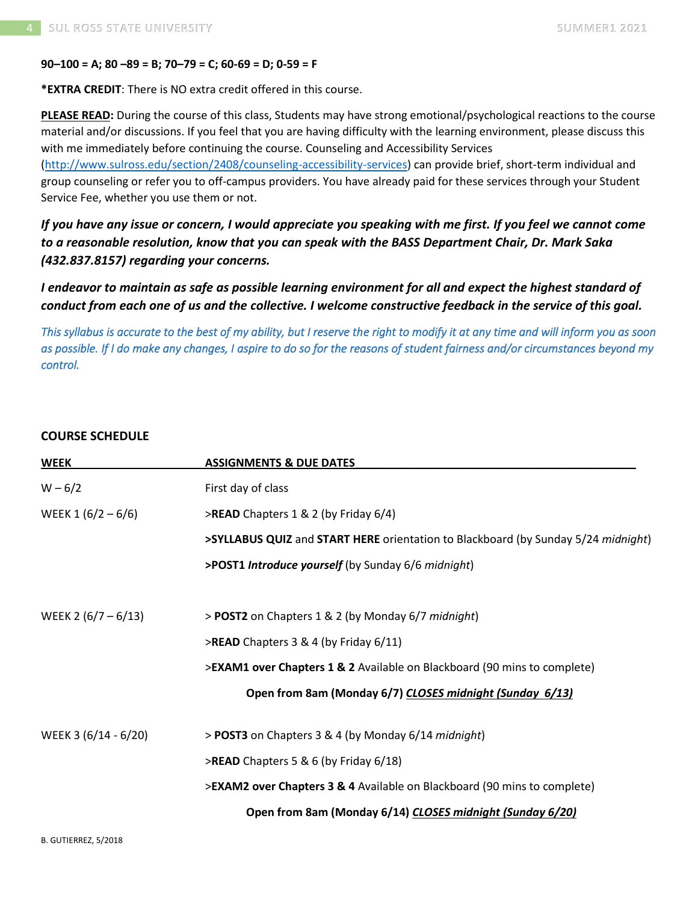#### **90–100 = A; 80 –89 = B; 70–79 = C; 60-69 = D; 0-59 = F**

**\*EXTRA CREDIT**: There is NO extra credit offered in this course.

**PLEASE READ:** During the course of this class, Students may have strong emotional/psychological reactions to the course material and/or discussions. If you feel that you are having difficulty with the learning environment, please discuss this with me immediately before continuing the course. Counseling and Accessibility Services

[\(http://www.sulross.edu/section/2408/counseling-accessibility-services\)](http://www.sulross.edu/section/2408/counseling-accessibility-services) can provide brief, short-term individual and group counseling or refer you to off-campus providers. You have already paid for these services through your Student Service Fee, whether you use them or not.

*If you have any issue or concern, I would appreciate you speaking with me first. If you feel we cannot come to a reasonable resolution, know that you can speak with the BASS Department Chair, Dr. Mark Saka (432.837.8157) regarding your concerns.*

*I endeavor to maintain as safe as possible learning environment for all and expect the highest standard of conduct from each one of us and the collective. I welcome constructive feedback in the service of this goal.*

*This syllabus is accurate to the best of my ability, but I reserve the right to modify it at any time and will inform you as soon as possible. If I do make any changes, I aspire to do so for the reasons of student fairness and/or circumstances beyond my control.* 

### **COURSE SCHEDULE**

| <b>WEEK</b>           | <b>ASSIGNMENTS &amp; DUE DATES</b>                                                |
|-----------------------|-----------------------------------------------------------------------------------|
| $W - 6/2$             | First day of class                                                                |
| WEEK 1 $(6/2 - 6/6)$  | >READ Chapters 1 & 2 (by Friday 6/4)                                              |
|                       | >SYLLABUS QUIZ and START HERE orientation to Blackboard (by Sunday 5/24 midnight) |
|                       | >POST1 Introduce yourself (by Sunday 6/6 midnight)                                |
| WEEK 2 $(6/7 - 6/13)$ | > POST2 on Chapters 1 & 2 (by Monday 6/7 midnight)                                |
|                       | >READ Chapters 3 & 4 (by Friday 6/11)                                             |
|                       | >EXAM1 over Chapters 1 & 2 Available on Blackboard (90 mins to complete)          |
|                       | Open from 8am (Monday 6/7) CLOSES midnight (Sunday 6/13)                          |
| WEEK 3 (6/14 - 6/20)  | > POST3 on Chapters 3 & 4 (by Monday 6/14 midnight)                               |
|                       | >READ Chapters 5 & 6 (by Friday 6/18)                                             |
|                       | >EXAM2 over Chapters 3 & 4 Available on Blackboard (90 mins to complete)          |
|                       | Open from 8am (Monday 6/14) CLOSES midnight (Sunday 6/20)                         |